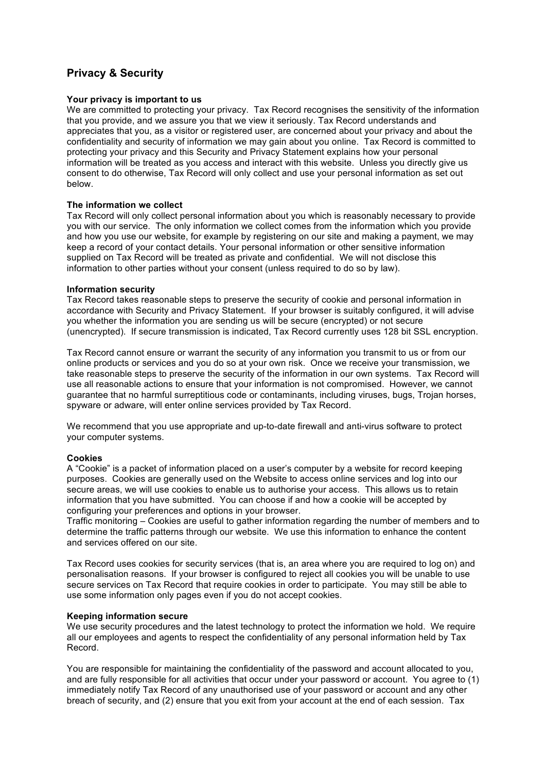# **Privacy & Security**

# **Your privacy is important to us**

We are committed to protecting your privacy. Tax Record recognises the sensitivity of the information that you provide, and we assure you that we view it seriously. Tax Record understands and appreciates that you, as a visitor or registered user, are concerned about your privacy and about the confidentiality and security of information we may gain about you online. Tax Record is committed to protecting your privacy and this Security and Privacy Statement explains how your personal information will be treated as you access and interact with this website. Unless you directly give us consent to do otherwise, Tax Record will only collect and use your personal information as set out below.

# **The information we collect**

Tax Record will only collect personal information about you which is reasonably necessary to provide you with our service. The only information we collect comes from the information which you provide and how you use our website, for example by registering on our site and making a payment, we may keep a record of your contact details. Your personal information or other sensitive information supplied on Tax Record will be treated as private and confidential. We will not disclose this information to other parties without your consent (unless required to do so by law).

# **Information security**

Tax Record takes reasonable steps to preserve the security of cookie and personal information in accordance with Security and Privacy Statement. If your browser is suitably configured, it will advise you whether the information you are sending us will be secure (encrypted) or not secure (unencrypted). If secure transmission is indicated, Tax Record currently uses 128 bit SSL encryption.

Tax Record cannot ensure or warrant the security of any information you transmit to us or from our online products or services and you do so at your own risk. Once we receive your transmission, we take reasonable steps to preserve the security of the information in our own systems. Tax Record will use all reasonable actions to ensure that your information is not compromised. However, we cannot guarantee that no harmful surreptitious code or contaminants, including viruses, bugs, Trojan horses, spyware or adware, will enter online services provided by Tax Record.

We recommend that you use appropriate and up-to-date firewall and anti-virus software to protect your computer systems.

# **Cookies**

A "Cookie" is a packet of information placed on a user's computer by a website for record keeping purposes. Cookies are generally used on the Website to access online services and log into our secure areas, we will use cookies to enable us to authorise your access. This allows us to retain information that you have submitted. You can choose if and how a cookie will be accepted by configuring your preferences and options in your browser.

Traffic monitoring – Cookies are useful to gather information regarding the number of members and to determine the traffic patterns through our website. We use this information to enhance the content and services offered on our site.

Tax Record uses cookies for security services (that is, an area where you are required to log on) and personalisation reasons. If your browser is configured to reject all cookies you will be unable to use secure services on Tax Record that require cookies in order to participate. You may still be able to use some information only pages even if you do not accept cookies.

# **Keeping information secure**

We use security procedures and the latest technology to protect the information we hold. We require all our employees and agents to respect the confidentiality of any personal information held by Tax Record.

You are responsible for maintaining the confidentiality of the password and account allocated to you, and are fully responsible for all activities that occur under your password or account. You agree to (1) immediately notify Tax Record of any unauthorised use of your password or account and any other breach of security, and (2) ensure that you exit from your account at the end of each session. Tax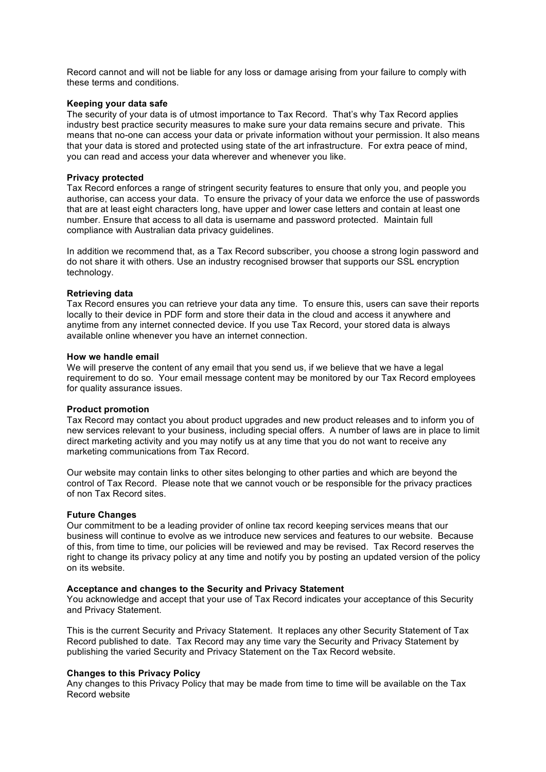Record cannot and will not be liable for any loss or damage arising from your failure to comply with these terms and conditions.

# **Keeping your data safe**

The security of your data is of utmost importance to Tax Record. That's why Tax Record applies industry best practice security measures to make sure your data remains secure and private. This means that no-one can access your data or private information without your permission. It also means that your data is stored and protected using state of the art infrastructure. For extra peace of mind, you can read and access your data wherever and whenever you like.

#### **Privacy protected**

Tax Record enforces a range of stringent security features to ensure that only you, and people you authorise, can access your data. To ensure the privacy of your data we enforce the use of passwords that are at least eight characters long, have upper and lower case letters and contain at least one number. Ensure that access to all data is username and password protected. Maintain full compliance with Australian data privacy guidelines.

In addition we recommend that, as a Tax Record subscriber, you choose a strong login password and do not share it with others. Use an industry recognised browser that supports our SSL encryption technology.

#### **Retrieving data**

Tax Record ensures you can retrieve your data any time. To ensure this, users can save their reports locally to their device in PDF form and store their data in the cloud and access it anywhere and anytime from any internet connected device. If you use Tax Record, your stored data is always available online whenever you have an internet connection.

#### **How we handle email**

We will preserve the content of any email that you send us, if we believe that we have a legal requirement to do so. Your email message content may be monitored by our Tax Record employees for quality assurance issues.

#### **Product promotion**

Tax Record may contact you about product upgrades and new product releases and to inform you of new services relevant to your business, including special offers. A number of laws are in place to limit direct marketing activity and you may notify us at any time that you do not want to receive any marketing communications from Tax Record.

Our website may contain links to other sites belonging to other parties and which are beyond the control of Tax Record. Please note that we cannot vouch or be responsible for the privacy practices of non Tax Record sites.

#### **Future Changes**

Our commitment to be a leading provider of online tax record keeping services means that our business will continue to evolve as we introduce new services and features to our website. Because of this, from time to time, our policies will be reviewed and may be revised. Tax Record reserves the right to change its privacy policy at any time and notify you by posting an updated version of the policy on its website.

#### **Acceptance and changes to the Security and Privacy Statement**

You acknowledge and accept that your use of Tax Record indicates your acceptance of this Security and Privacy Statement.

This is the current Security and Privacy Statement. It replaces any other Security Statement of Tax Record published to date. Tax Record may any time vary the Security and Privacy Statement by publishing the varied Security and Privacy Statement on the Tax Record website.

# **Changes to this Privacy Policy**

Any changes to this Privacy Policy that may be made from time to time will be available on the Tax Record website